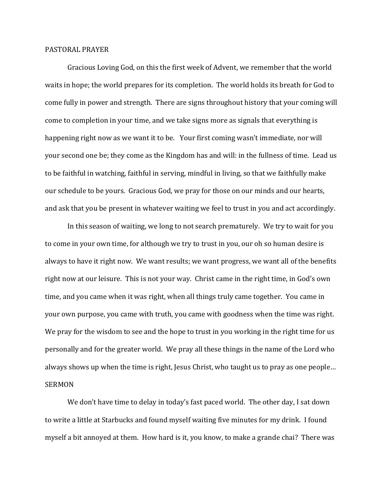## PASTORAL PRAYER

Gracious Loving God, on this the first week of Advent, we remember that the world waits in hope; the world prepares for its completion. The world holds its breath for God to come fully in power and strength. There are signs throughout history that your coming will come to completion in your time, and we take signs more as signals that everything is happening right now as we want it to be. Your first coming wasn't immediate, nor will your second one be; they come as the Kingdom has and will: in the fullness of time. Lead us to be faithful in watching, faithful in serving, mindful in living, so that we faithfully make our schedule to be yours. Gracious God, we pray for those on our minds and our hearts, and ask that you be present in whatever waiting we feel to trust in you and act accordingly.

In this season of waiting, we long to not search prematurely. We try to wait for you to come in your own time, for although we try to trust in you, our oh so human desire is always to have it right now. We want results; we want progress, we want all of the benefits right now at our leisure. This is not your way. Christ came in the right time, in God's own time, and you came when it was right, when all things truly came together. You came in your own purpose, you came with truth, you came with goodness when the time was right. We pray for the wisdom to see and the hope to trust in you working in the right time for us personally and for the greater world. We pray all these things in the name of the Lord who always shows up when the time is right, Jesus Christ, who taught us to pray as one people… SERMON

We don't have time to delay in today's fast paced world. The other day, I sat down to write a little at Starbucks and found myself waiting five minutes for my drink. I found myself a bit annoyed at them. How hard is it, you know, to make a grande chai? There was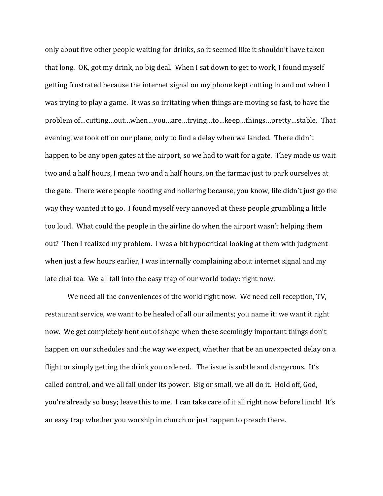only about five other people waiting for drinks, so it seemed like it shouldn't have taken that long. OK, got my drink, no big deal. When I sat down to get to work, I found myself getting frustrated because the internet signal on my phone kept cutting in and out when I was trying to play a game. It was so irritating when things are moving so fast, to have the problem of…cutting…out…when…you…are…trying…to…keep…things…pretty…stable. That evening, we took off on our plane, only to find a delay when we landed. There didn't happen to be any open gates at the airport, so we had to wait for a gate. They made us wait two and a half hours, I mean two and a half hours, on the tarmac just to park ourselves at the gate. There were people hooting and hollering because, you know, life didn't just go the way they wanted it to go. I found myself very annoyed at these people grumbling a little too loud. What could the people in the airline do when the airport wasn't helping them out? Then I realized my problem. I was a bit hypocritical looking at them with judgment when just a few hours earlier, I was internally complaining about internet signal and my late chai tea. We all fall into the easy trap of our world today: right now.

We need all the conveniences of the world right now. We need cell reception, TV, restaurant service, we want to be healed of all our ailments; you name it: we want it right now. We get completely bent out of shape when these seemingly important things don't happen on our schedules and the way we expect, whether that be an unexpected delay on a flight or simply getting the drink you ordered. The issue is subtle and dangerous. It's called control, and we all fall under its power. Big or small, we all do it. Hold off, God, you're already so busy; leave this to me. I can take care of it all right now before lunch! It's an easy trap whether you worship in church or just happen to preach there.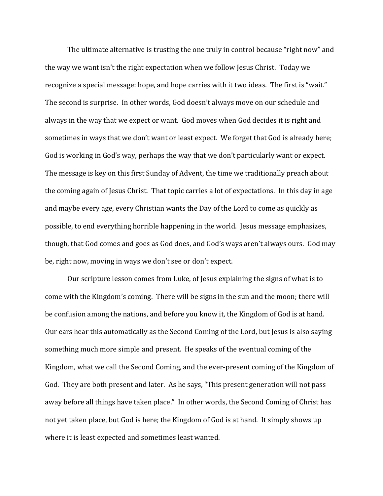The ultimate alternative is trusting the one truly in control because "right now" and the way we want isn't the right expectation when we follow Jesus Christ. Today we recognize a special message: hope, and hope carries with it two ideas. The first is "wait." The second is surprise. In other words, God doesn't always move on our schedule and always in the way that we expect or want. God moves when God decides it is right and sometimes in ways that we don't want or least expect. We forget that God is already here; God is working in God's way, perhaps the way that we don't particularly want or expect. The message is key on this first Sunday of Advent, the time we traditionally preach about the coming again of Jesus Christ. That topic carries a lot of expectations. In this day in age and maybe every age, every Christian wants the Day of the Lord to come as quickly as possible, to end everything horrible happening in the world. Jesus message emphasizes, though, that God comes and goes as God does, and God's ways aren't always ours. God may be, right now, moving in ways we don't see or don't expect.

Our scripture lesson comes from Luke, of Jesus explaining the signs of what is to come with the Kingdom's coming. There will be signs in the sun and the moon; there will be confusion among the nations, and before you know it, the Kingdom of God is at hand. Our ears hear this automatically as the Second Coming of the Lord, but Jesus is also saying something much more simple and present. He speaks of the eventual coming of the Kingdom, what we call the Second Coming, and the ever-present coming of the Kingdom of God. They are both present and later. As he says, "This present generation will not pass away before all things have taken place." In other words, the Second Coming of Christ has not yet taken place, but God is here; the Kingdom of God is at hand. It simply shows up where it is least expected and sometimes least wanted.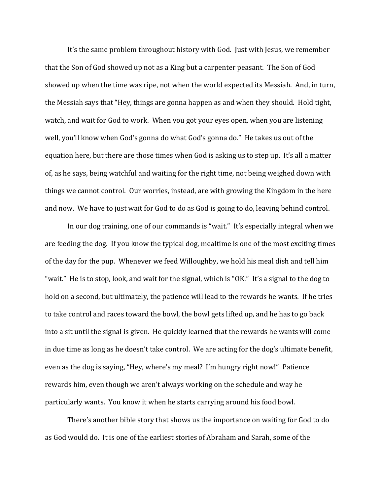It's the same problem throughout history with God. Just with Jesus, we remember that the Son of God showed up not as a King but a carpenter peasant. The Son of God showed up when the time was ripe, not when the world expected its Messiah. And, in turn, the Messiah says that "Hey, things are gonna happen as and when they should. Hold tight, watch, and wait for God to work. When you got your eyes open, when you are listening well, you'll know when God's gonna do what God's gonna do." He takes us out of the equation here, but there are those times when God is asking us to step up. It's all a matter of, as he says, being watchful and waiting for the right time, not being weighed down with things we cannot control. Our worries, instead, are with growing the Kingdom in the here and now. We have to just wait for God to do as God is going to do, leaving behind control.

In our dog training, one of our commands is "wait." It's especially integral when we are feeding the dog. If you know the typical dog, mealtime is one of the most exciting times of the day for the pup. Whenever we feed Willoughby, we hold his meal dish and tell him "wait." He is to stop, look, and wait for the signal, which is "OK." It's a signal to the dog to hold on a second, but ultimately, the patience will lead to the rewards he wants. If he tries to take control and races toward the bowl, the bowl gets lifted up, and he has to go back into a sit until the signal is given. He quickly learned that the rewards he wants will come in due time as long as he doesn't take control. We are acting for the dog's ultimate benefit, even as the dog is saying, "Hey, where's my meal? I'm hungry right now!" Patience rewards him, even though we aren't always working on the schedule and way he particularly wants. You know it when he starts carrying around his food bowl.

There's another bible story that shows us the importance on waiting for God to do as God would do. It is one of the earliest stories of Abraham and Sarah, some of the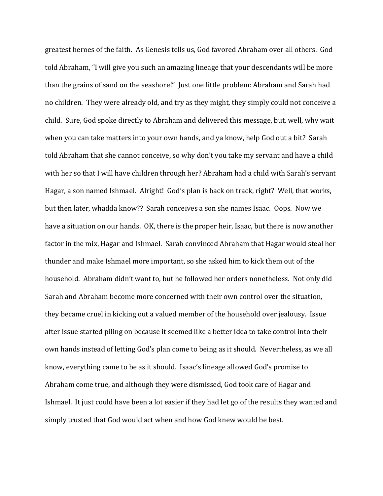greatest heroes of the faith. As Genesis tells us, God favored Abraham over all others. God told Abraham, "I will give you such an amazing lineage that your descendants will be more than the grains of sand on the seashore!" Just one little problem: Abraham and Sarah had no children. They were already old, and try as they might, they simply could not conceive a child. Sure, God spoke directly to Abraham and delivered this message, but, well, why wait when you can take matters into your own hands, and ya know, help God out a bit? Sarah told Abraham that she cannot conceive, so why don't you take my servant and have a child with her so that I will have children through her? Abraham had a child with Sarah's servant Hagar, a son named Ishmael. Alright! God's plan is back on track, right? Well, that works, but then later, whadda know?? Sarah conceives a son she names Isaac. Oops. Now we have a situation on our hands. OK, there is the proper heir, Isaac, but there is now another factor in the mix, Hagar and Ishmael. Sarah convinced Abraham that Hagar would steal her thunder and make Ishmael more important, so she asked him to kick them out of the household. Abraham didn't want to, but he followed her orders nonetheless. Not only did Sarah and Abraham become more concerned with their own control over the situation, they became cruel in kicking out a valued member of the household over jealousy. Issue after issue started piling on because it seemed like a better idea to take control into their own hands instead of letting God's plan come to being as it should. Nevertheless, as we all know, everything came to be as it should. Isaac's lineage allowed God's promise to Abraham come true, and although they were dismissed, God took care of Hagar and Ishmael. It just could have been a lot easier if they had let go of the results they wanted and simply trusted that God would act when and how God knew would be best.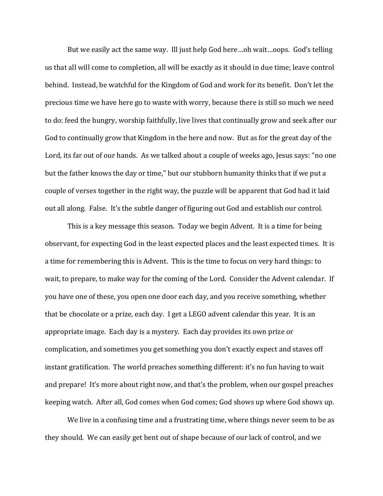But we easily act the same way. Ill just help God here…oh wait…oops. God's telling us that all will come to completion, all will be exactly as it should in due time; leave control behind. Instead, be watchful for the Kingdom of God and work for its benefit. Don't let the precious time we have here go to waste with worry, because there is still so much we need to do: feed the hungry, worship faithfully, live lives that continually grow and seek after our God to continually grow that Kingdom in the here and now. But as for the great day of the Lord, its far out of our hands. As we talked about a couple of weeks ago, Jesus says: "no one but the father knows the day or time," but our stubborn humanity thinks that if we put a couple of verses together in the right way, the puzzle will be apparent that God had it laid out all along. False. It's the subtle danger of figuring out God and establish our control.

This is a key message this season. Today we begin Advent. It is a time for being observant, for expecting God in the least expected places and the least expected times. It is a time for remembering this is Advent. This is the time to focus on very hard things: to wait, to prepare, to make way for the coming of the Lord. Consider the Advent calendar. If you have one of these, you open one door each day, and you receive something, whether that be chocolate or a prize, each day. I get a LEGO advent calendar this year. It is an appropriate image. Each day is a mystery. Each day provides its own prize or complication, and sometimes you get something you don't exactly expect and staves off instant gratification. The world preaches something different: it's no fun having to wait and prepare! It's more about right now, and that's the problem, when our gospel preaches keeping watch. After all, God comes when God comes; God shows up where God shows up.

We live in a confusing time and a frustrating time, where things never seem to be as they should. We can easily get bent out of shape because of our lack of control, and we